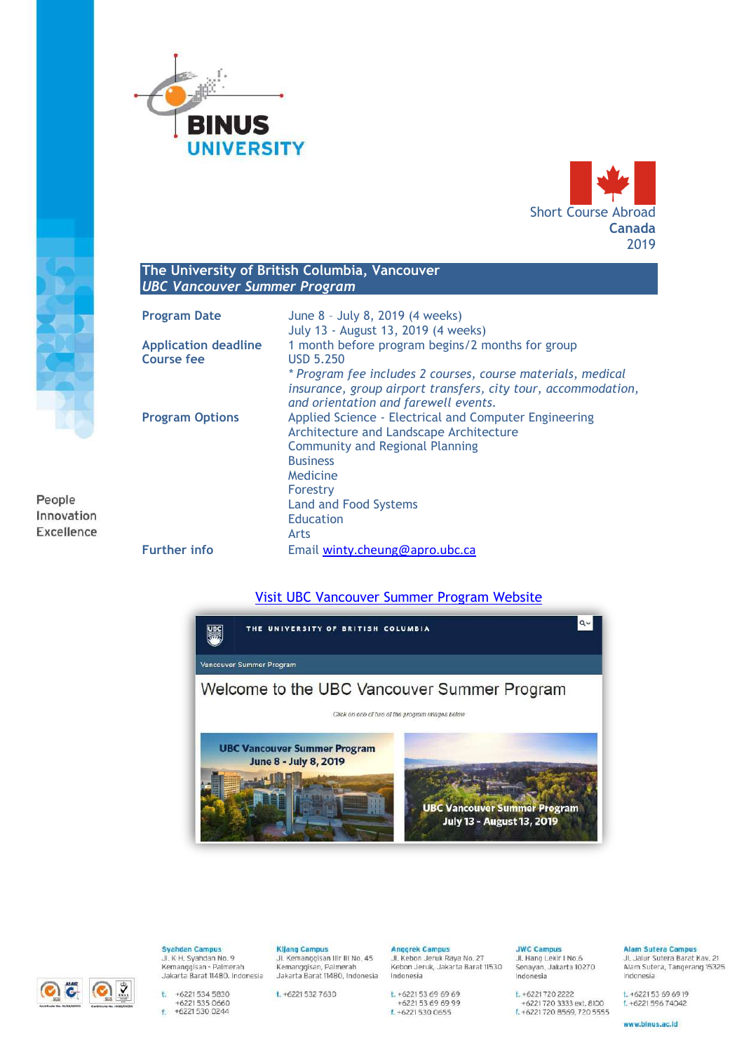



#### The University of British Columbia, Vancouver **UBC Vancouver Summer Program**

| <b>Program Date</b>                       | June 8 - July 8, 2019 (4 weeks)<br>July 13 - August 13, 2019 (4 weeks)                                                                                               |
|-------------------------------------------|----------------------------------------------------------------------------------------------------------------------------------------------------------------------|
| <b>Application deadline</b><br>Course fee | 1 month before program begins/2 months for group<br>USD 5.250                                                                                                        |
|                                           | * Program fee includes 2 courses, course materials, medical<br>insurance, group airport transfers, city tour, accommodation,<br>and orientation and farewell events. |
| <b>Program Options</b>                    | Applied Science - Electrical and Computer Engineering<br>Architecture and Landscape Architecture<br><b>Community and Regional Planning</b>                           |
|                                           | <b>Business</b>                                                                                                                                                      |
|                                           | Medicine                                                                                                                                                             |
|                                           | Forestry                                                                                                                                                             |
|                                           | <b>Land and Food Systems</b>                                                                                                                                         |
|                                           | Education                                                                                                                                                            |
|                                           | Arts                                                                                                                                                                 |
| <b>Further info</b>                       | Email winty.cheung@apro.ubc.ca                                                                                                                                       |

Visit UBC Vancouver Summer Program Website





People Innovation Excellence

> **Svahdan Campus** Jl. K H. Syahdan No. 9 Kemanggisan - Palmerah<br>Jakarta Barat 11480. Indonesia

t. +6221 534 5830  $+62215350660$ <br> $+62215300244$  Kijang Campus<br>Jl. Kemanggisan Ilir III No. 45 Kemanggisan, Palmerah<br>Jakarta Barat 11480, Indonesia

t. +6221 532 7630

Anggrek Campus Jl. Kebon Jeruk Raya No. 27

Indonesia t. +6221 53 69 69 69 +6221 53 69 69 99 f.  $+62215300655$ 

Kebon Jeruk, Jakarta Barat 11530

**JWC Campus** Jl. Hang Lekir I No.6 Senayan, Jakarta 10270<br>Indonesia

t. +6221720 2222 +6221 720 3333 ext. 8100<br>f. +6221 720 8569, 720 5555

# Alam Sutera Campus<br>Jl, Jalur Sutera Barat Kav. 21

Alam Sutera, Tangerang 15325

Indonesia  $t. +622153696919$ f. +6221 596 74042

www.binus.ac.id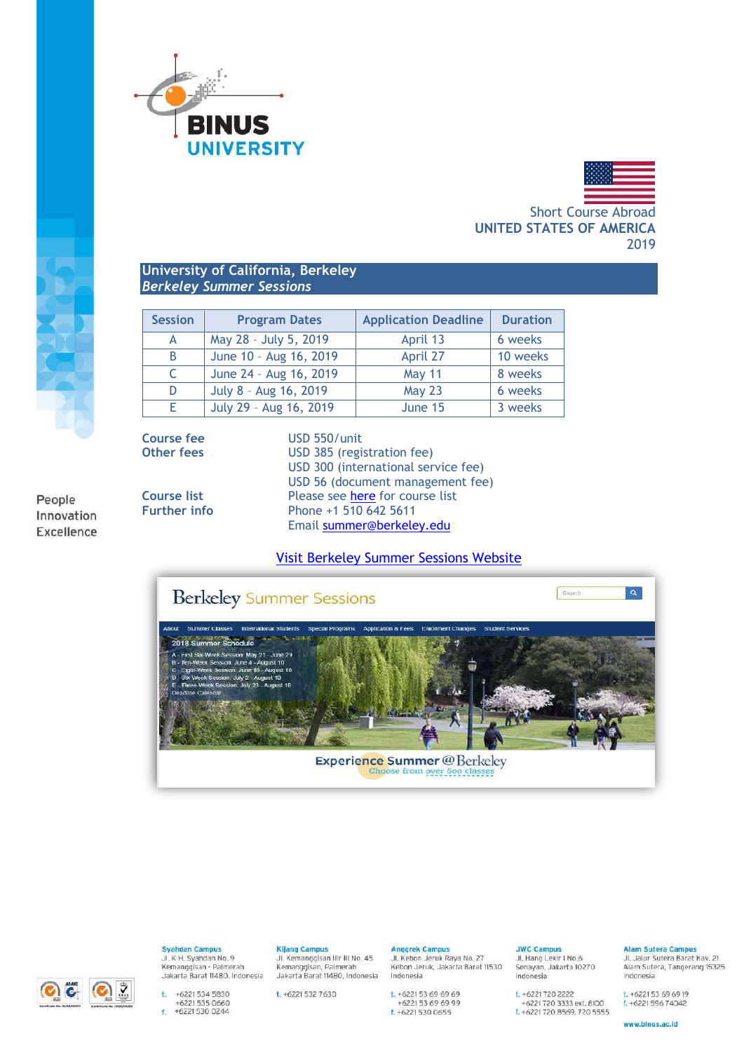



Short Course Abroad **UNITED STATES OF AMERICA** 2019

## **University of California, Berkeley** *Berkeley Summer Sessions*

| <b>Session</b> | <b>Program Dates</b>   | <b>Application Deadline</b> | <b>Duration</b> |
|----------------|------------------------|-----------------------------|-----------------|
| А              | May 28 - July 5, 2019  | April 13                    | 6 weeks         |
| B              | June 10 - Aug 16, 2019 | April 27                    | 10 weeks        |
| C              | June 24 - Aug 16, 2019 | <b>May 11</b>               | 8 weeks         |
| D              | July 8 - Aug 16, 2019  | <b>May 23</b>               | 6 weeks         |
| Ε              | July 29 - Aug 16, 2019 | June 15                     | 3 weeks         |

People Innovation Excellence **Course fee** USD 550/unit **Other fees** USD 385 (registration fee) USD 300 (international service fee) USD 56 (document management fee) **Course list** Please see [here](http://summer.berkeley.edu/classes) for course list **Further info** Phone +1 510 642 5611 Email [summer@berkeley.edu](mailto:summer@berkeley.edu)

## [Visit Berkeley Summer Sessions Website](http://summer.berkeley.edu/)





**Syahdan Campus** Jl. K H. Syahdan No. 9

Kemanggisan - Palmerah<br>Jakarta Barat 11480. Indonesia

t.  $+62215345830$  $+62215350660$ <br> $+62215300244$  **Kijang Campus** 

Jl. Kemanggisan Ilir III No. 45 Kemanggisan, Palmerah<br>Jakarta Barat 11480, Indonesia

t. +6221 532 7630

**Anggrek Campus** Jl. Kebon Jeruk Raya No. 27

Kebon Jeruk, Jakarta Barat 11530 Indonesia t. +6221 53 69 69 69 +6221 53 69 69 99

f.  $+62215300655$ 

**JWC Camnus** Jl. Hang Lekir I No.6

Senayan, Jakarta 10270<br>Indonesia t. +6221720 2222 +6221 720 3333 ext. 8100<br>f. +6221 720 8569, 720 5555

#### Alam Sutera Campus Jl. Jalur Sutera Barat Kav. 21

Alam Sutera, Tangerang 15325

Indonesia  $t. +622153696919$ 

 $f. +622159674042$ 

www.binus.ac.id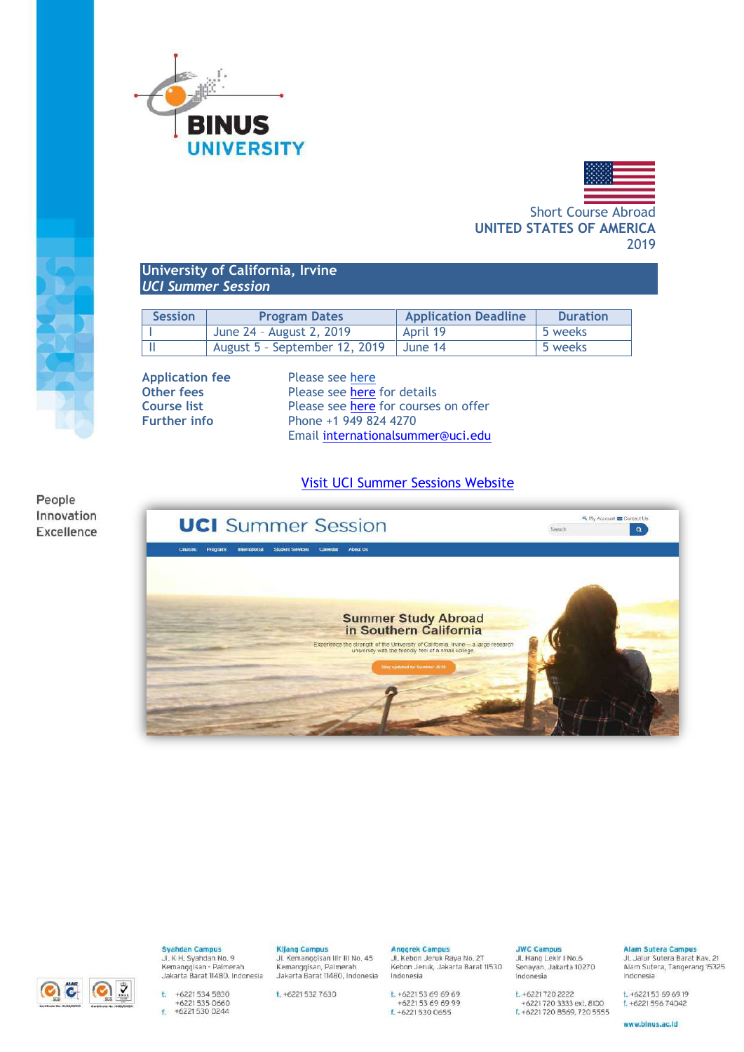



Short Course Abroad **UNITED STATES OF AMERICA** 2019

## **University of California, Irvine** *UCI Summer Session*

| <b>Session</b> | <b>Program Dates</b>                    | <b>Application Deadline</b> | <b>Duration</b> |
|----------------|-----------------------------------------|-----------------------------|-----------------|
|                | June 24 - August 2, 2019                | April 19                    | 5 weeks         |
|                | August 5 - September 12, 2019   June 14 |                             | 5 weeks         |

**Application fee** Please see [here](https://summer.uci.edu/international/enrollment/fees.aspx)<br> **Other fees** Please see here

Please see [here](https://summer.uci.edu/international/enrollment/) for details **Course list** Please see **here** for courses on offer **Further info** Phone +1 949 824 4270 Email [internationalsummer@uci.edu](mailto:internationalsummer@uci.edu)

[Visit UCI Summer Sessions Website](http://summer.uci.edu/international/)









**Syahdan Campus** Jl. K H. Syahdan No. 9 Kemanggisan - Palmerah<br>Jakarta Barat 11480. Indonesia

Kijang Campus<br>Jl. Kemanggisan Ilir III No. 45

Kemanggisan, Palmerah<br>Jakarta Barat 11480, Indonesia

t. +6221 532 7630

Anggrek Campus Jl. Kebon Jeruk Raya No. 27

Kebon Jeruk, Jakarta Barat 11530 Indonesia t. +6221 53 69 69 69<br>+6221 53 69 69 99<br>f. +6221 530 0655

**JWC Camnus** Jl. Hang Lekir I No.6

t. +6221720 2222 +6221 720 3333 ext. 8100<br>f. +6221 720 8569, 720 5555

Senayan, Jakarta 10270<br>Indonesia

Alam Sutera Campus Jl. Jalur Sutera Barat Kav. 21

Alam Sutera, Tangerang 15325

#### $t. +622153696919$  $f. +622159674042$

Indonesia

www.binus.ac.id

t.  $+62215345830$  $+62215350660$ <br> $+62215300244$